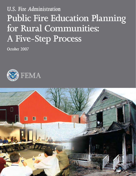# *U.S. Fire Administration* **Public Fire Education Planning for Rural Communities: A Five-Step Process**

*October 2007*



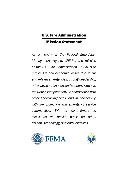# U.S. Fire Administration

### Mission Statement

*As an entity of the Federal Emergency Management Agency (FEMA), the mission of the U.S. Fire Administration (USFA) is to reduce life and economic losses due to fire and related emergencies, through leadership, advocacy, coordination, and support. We serve the Nation independently, in coordination with other Federal agencies, and in partnership with fire protection and emergency service communities. With a commitment to excellence, we provide public education, training, technology, and data initiatives.*



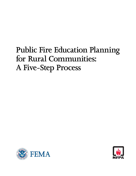# **Public Fire Education Planning for Rural Communities: A Five-Step Process**



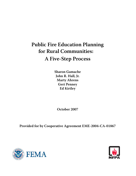# **Public Fire Education Planning for Rural Communities: A Five-Step Process**

**Sharon Gamache John R. Hall, Jr. Marty Ahrens Geri Penney Ed Kirtley**

**October 2007**

**Provided for by Cooperative Agreement EME-2004-CA-01867**



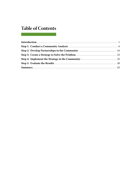# **Table of Contents**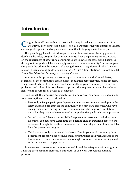### <span id="page-5-0"></span>**Introduction**

**Congratulations! You are about to take the first step in making your community fire**<br> **Consisters Sut you don't have to go it alone—you also are partnering with numerous Fed<br>
and nonprofit agencies and organizations commi** safe. But you don't have to go it alone—you also are partnering with numerous Federal and nonprofit agencies and organizations committed to helping you in this project.

This planning guide will introduce you to a simple, easy-to-use planning process to develop a fire safety program for your community. Since the planning process is based on the experiences of other rural communities, we know all the steps work. Examples throughout the guide will help you apply each step to your community. These examples, along with the other information, make using the steps straightforward. All of the information in this planning guide is based on the U.S. Fire Administration's (USFA's) booklet *Public Fire Education Planning: A Five-Step Process*.

You can use this planning process in any rural community in the United States, regardless of the community's location, size, population demographics, or fire problem. The process leads you to solutions based specifically on your community's resources, problems, and values. It is **not** a large-city process that requires large numbers of firefighters and thousands of dollars to be effective.

Even though the process is designed to work for any rural community, we have made some assumptions about your situation:

- First, only a few people in your department may have experience developing a fire safety education program for the community. You may have personnel who have done presentations during Fire Prevention Week or who help with fire station tours, but they may not have designed a comprehensive public education program.
- Second, you don't have many available fire prevention resources, including people's time. You may have a hard time even getting enough qualified people on the department to fight fires. Also, you may not have many department funds available for a fire prevention program.
- • Third, you may only have a small database of fires in your local community. Your department probably does not have many structure fires each year. Because of the low number of fires, there may not be any single fire cause that you can single out with confidence as a top priority.

Some elements are common in most successful rural fire safety education programs. Knowing these common elements is important as you work through the planning process.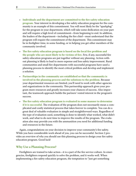- • **Individuals and the department are committed to the fire safety education program.** Your interest in developing a fire safety education program for the community is an example of this commitment. You will most likely be the "sparkplug" for the program in your department, which will take some dedication on your part and will require a high level of commitment—from beginning to end. In addition, the leaders of the department—including the fire chief—must understand that the program will require the commitment of the department. This commitment may be in firefighter time, in some funding, or in helping you get other members of the community involved.
- • **The fire safety education program is based on the local fire problem and the people who are most likely to be victims of fire.** Few, if any, successful fire safety education programs are put together without any planning. Action without planning is likely to lead to more expense and less safety improvement. Rural communities and small fire departments with successful programs have used a planning process to identify the most critical problem and develop and implement a solution.
- • **Partnerships in the community are established so that the community is involved in the planning process and the solutions to the problem.** Because your departmental resources are limited, you'll need to work with other agencies and organizations in the community. This partnership approach gives your program more resources and greatly increases your chances of success. Also important, the teamwork approach builds the partners' vested interest in the program's success.
- **The fire safety education program is evaluated in some manner to determine if it is successful.** The evaluation of the program does not necessarily mean a complicated and costly statistical process that takes forever to complete. You can do a great deal of valuable evaluation in simple and straightforward ways. Regardless of the type of evaluation used, something is done to identify what worked, what didn't work, and what to do next time to improve the results of the program. The evaluation also may provide you with the ammunition you need for additional funding and resources in the future.

Again, congratulations on your decision to improve your community's fire safety. While you have considerable work ahead of you, you can be successful. Section 2 provides an overview of why you should use this planning process to design your fire safety education program. Good luck!

#### **Why Use a Planning Process?**

Firefighters are trained to take action—it is a part of the fire service culture. In emergencies, firefighters respond quickly to solve the problem, and it works well. When implementing a fire safety education program, the temptation to "just get something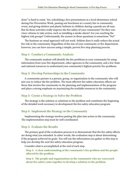done" is hard to resist. Yes, scheduling a few presentations at a local elementary school during Fire Prevention Week, passing out brochures at a county fair or community event, and giving stickers and plastic helmets to children during a parade are all easy. But do these activities really improve the fire safety of your community? Do they convince citizens to take action, such as installing a smoke alarm? Are you reaching the highest risk groups? Unfortunately, the answer to these questions is sometimes "No!"

The business-as-usual approach will not work. Seldom does it really reduce the actual fire risk in the community. Regardless of the size of your community or fire department, however, you can have success using a simple, proven five-step planning process.

#### **Step 1: Conduct a Community Analysis**

The community analysis will identify the fire problems in your community by using information from your fire department, other agencies in the community, and a few State and national resources to understand your community's highest priority fire problems .

#### **Step 2: Develop Partnerships in the Community**

A community partner is a person, group, or organization in the community who will join you to reduce the fire problem. The most effective fire safety education efforts are those that involve the community in the planning and implementation of the program and place a strong emphasis on maximizing the available resources in the community .

#### **Step 3: Create a Strategy to Solve the Problem**

The strategy is the solution or solutions to the problem and constitutes the beginning of the detailed work necessary to development the fire safety education program .

#### **Step 4: Implement the Strategy in the Community**

Implementing the strategy involves putting the plan into action in the community . The implementation step must be well coordinated.

#### **Step 5: Evaluate the Results**

The primary goal of the evaluation process is to demonstrate that the fire safety efforts are doing what you intended. In other words, the evaluation step is about determining if the program achieved its goals. You will use the information you gather in this step to help you develop the next fire safety education program.

Consider what is accomplished at the end of each step.

**Step 1: A clear understanding of the community's fire problem and the people affected by the problem.**

**Step 2: The people and organizations in the community who are concerned about fire safety come together to develop a solution to the problem.**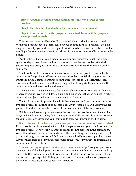**Step 3: A plan is developed with solutions most likely to reduce the fire problem.**

**Step 4: The plan developed in Step 3 is implemented as designed.**

**Step 5: Information from the program is used to determine if the program accomplished its goals.**

This process has several benefits. First, you will identify the fire problem clearly. While you probably have a general sense of your community's fire problems, the planning process helps you address the highest priorities. Also, you will have a better understanding of who is involved, specifically those citizens who are most affected when a fire occurs.

Another benefit is that you'll maximize community resources. Usually no single agency or department has enough resources to address the fire problem effectively. Success requires bringing the various community resources together to focus on the solutions.

The third benefit is the community involvement. Your fire problem is actually the community's fire problem. When a fire occurs, the effects are felt throughout the community: individual families, insurance companies, schools, local government, local businesses, churches, and so on. Because the problem belongs to the community, the community should have a stake in the solutions.

The next benefit actually involves future fire safety initiatives. By using the five-step process everyone involved will develop skills and experiences that can be used in future community projects, including those not related to fire safety.

The final, and most important benefit, is that when you and the community use the five-step process the likelihood of success is greatly increased. You will achieve the program goals and, in the end, the citizens of your community will be safer from fire.

While you will see many benefits from the five-step process, be aware of a few challenges, which do not take away from the importance of the process, but rather are issues for you to consider as you and your community team work through the five steps.

**Successful use of the five-step process requires a commitment by those involved.**  If your goal is simply to have the fire truck in the parade once a year, you don't need the five-step process. If, however, you want to reduce the fire problem in the community, you will need to invest some time and effort. The worst thing that can happen is to get part way through the process and find that those involved have given up or lost interest. Anyone that agrees to be involved, regardless of the level of involvement, must make a commitment to carry through.

**You need strong support from fire department leadership.** Strong support from the department's leadership will ensure that department members are involved and supportive. In the largest and smallest fire departments alike, some fire service members may resist change, especially if they perceive that the fire safety education program may divert limited resources from suppression activities.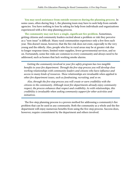**You may need assistance from outside resources during the planning process.** In some cases, often during Step 1, the planning team may have to seek help from outside agencies. You have nothing to lose by asking for help from individuals and organizations experienced with a five-step planning process.

**The community may not have a single, significant fire problem.** Sometimes, getting citizens and community leaders excited about a problem or risk they perceive as a "non-issue" is difficult. Many rural communities experience only a few fires each year. This doesn't mean, however, that the fire risk does not exist, especially to the very young and the elderly. Also, people who live in rural areas may be at greater risk due to longer response times, limited water supplies, fewer governmental services, and so on. Fortunately, some fire risks are common to every community and always need to be addressed, such as homes that lack working smoke alarms.

*Getting the community involved in your fire safety program has two tangible benefits to your fire department. Through the five-step process you will develop close working relationships with community leaders and citizens who have influence and access to many kinds of resources. These relationships are invaluable when applied to other fire department issues, such as fundraising, recruiting, and so on.*

*Also, through the five-step process you will create or earn credibility with the citizens in the community. Although most fire departments already enjoy community respect, the process enhances that respect and credibility. As with relationships, this credibility is invaluable when seeking community support for other activities and initiatives.*

The five-step planning process is a proven method for addressing a community's fire problem that can be used in any community. Both the community as a whole and the fire department will enjoy numerous benefits from using the five-step process. Success does, however, require commitment by the department and others involved.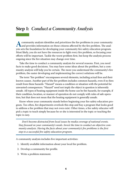# <span id="page-10-0"></span>**Step 1:** *Conduct a Community Analysis*

**A** community analysis identifies and prioritizes the fire problems in your community<br>and provides information on those citizens affected by the fire problem. The anal-<br>ysis sets the foundation for developing your communit and provides information on those citizens affected by the fire problem. The analysis sets the foundation for developing your community fire safety education program. Most likely, you do not have the resources to fight every fire problem, so focusing your efforts will be important. Tackle the worst problem first, but keep the analysis process ongoing since the fire situation may change over time.

Take the time to conduct a community analysis for several reasons. First, you need facts to make good decisions. You may have some ideas about the problem, but a community analysis will help you be certain. The more you understand the community's fire problem, the easier developing and implementing the correct solutions will be.

The term "fire problem" encompasses several elements, including actual fires and their known causes. Another part of the fire problem includes common hazards, even if no fires result from these hazards. "Hazard" means a condition or situation with the potential for unwanted consequences. "Hazard" need not imply the object in question is inherently unsafe. All types of heating equipment inside the home can be fire hazards, for example, if their condition, location, or manner of operation do not comply with rules of safe operation, but that does not mean that the heating equipment is generally unsafe.

Know where your community stands before beginning your fire safety education program. Too often, fire departments overlook this step and buy a program that looks good to address a fire problem that may not even exist. Other times, a fire safety educator will pick a topic to teach simply because he or she is interested in the topic or teaching the topic is easy.

*Don't become distracted from local issues by media coverage of national events. Stay focused on your community's needs. Invest the time to conduct an objective community analysis. Having the facts about your community's fire problems is the first step to a successful fire safety education program.*

A community analysis includes five important activities:

- 1. Identify available information about your local fire problem.
- 2. Develop a community fire profile.
- 3. Write a problem statement.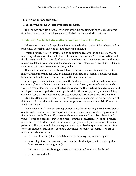- 4. Prioritize the fire problems.
- 5. Identify the people affected by the fire problems.

The analysis provides a factual overview of the fire problem, using available information that you can use to develop a picture of what is wrong and who is at risk.

#### **1. Identify Available Information about Your Local Fire Problem**

Information about the fire problem identifies the leading causes of fire, where the fire problem is occurring, and who the fire problem is affecting.

Obtain problem-related information by conducting research, asking questions, and reviewing information. Start with local information, then review State information, and finally review available national information. In other words, begin your work with information available in your community, because that local information most likely will paint an accurate picture of your specific fire problems.

There are numerous sources for each level of information, starting with local information. Remember that the State and national information generally is developed from local information from each community in the State and region.

Your department's incident reports are the best source of local information on your community's fire problem . The incident reports are a lasting record of the fires to which you have responded, the people affected, the cause, and the resulting damage . Some rural fire departments computerize their reports, while others use paper reports and a filing system. Most U.S. fire departments use a standardized form from the USFA's National Fire Incident Reporting System (NFIRS) . Most States also use this form, or a variation of it, to record fire incident information. You can get more information on NFIRS at *www*. *[NFIRS.FEMA.gov](www.NFIRS.FEMA.gov)*

Review the NFIRS form or your department's incident reporting form. Several pieces of information on the form are important to your analysis in terms of seeing your local fire problem clearly. To identify patterns, choose an extended period—at least 4 or 5 years—to use as a baseline, that is, as a representative description of your fire problem just before the introduction of your new safety program(s). If your department participates in NFIRS, you should be able to generate standardized output reports on any fire or victim characteristic. If not, develop a tally sheet for each of the characteristics of interest, which may include

- location of the fire (block or neighborhood, property use, area of origin);
- • cause of ignition (heat source, equipment involved in ignition, item first ignited, factor contributing to ignition);
- • human factors contributing to the fire or to a victim's injury or death; and
- • damage from the fire.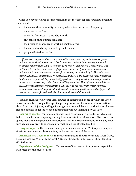Once you have reviewed the information in the incident reports you should begin to understand

- the area of the community or county where fires occur most frequently;
- the cause of the fires;
- when the fires occur—time, day, month;
- any contributing human behavior;
- the presence or absence of working smoke alarms;
- the amount of damage caused by the fires; and
- people affected by the fire.

*If you are using tally sheets and, even with several years of data, have very few incidents to work with, treat each fire like a case study without leaning too much on statistical methods. Take notes from each section you believe is important. One method is to list the cause, source of ignition, and so on. If you come across another incident with an already noted cause, for example, put a check by it. This will show you which causes, human factors, addresses, and so on are occurring more frequently. In other words, you will begin to identify patterns. Also pay attention to information in the report's narrative, called "anecdotal" information. This information, while not necessarily statistically representative, can provide the reporting officer's perspective on what was most important in the incident and, in particular, will help provide details that do not fit well with the choices in the coded data fields.*

You also should review other local sources of information, some of which are listed below. Remember, though, that specific privacy laws affect the release of information about fires, burn injuries, and legal investigations. You will have to work with local agencies and officials to get the needed information without violating privacy laws.

**Insurance agents.** Insurance companies keep reports of every fire for which a claim is flied. Local insurance agents generally have access to this information. Also, insurance agents may be able to provide information on fires in nearby communities. Finally, insurance agents may provide anecdotal information on the affected families.

**Hospital reports.** Hospital and emergency medical services (EMS) reports can provide information on any burn victims, including the cause of the burn.

**American Red Cross reports.** In most communities, the American Red Cross (ARC) helps fire victims. Visit with the local ARC coordinator for information about families affected by fire.

**Experiences of the firefighters.** This source of information is important, especially with regard to the cause of fires.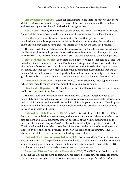**Fire investigation reports.** These reports, similar to fire incident reports, give more detailed information about the specific cause of the fire. In some cases, the local law enforcement agency or State Fire Marshal investigates fires.

**News stories.** Usually, the local newspaper covers residential fires that result in loss. Copies of the news stories should be available at the newspaper or the local library.

**Health Department.** In some communities, the health department is actively involved in fire and burn prevention activities. In these communities, the health department officials may already have gathered information about the local fire problem.

The next level of information comes from sources at the State level, many of which are similar to local sources. In general, information from these sources is less specific than local sources. The information, however, is still valuable and adds to the overall picture.

**State Fire Marshal's Office.** Each State has an office or agency that acts as a State Fire Marshal. One of the roles of the State Fire Marshal is to gather information on the State's fire problem. In some cases, the office puts the information into detailed reports sorted by county. In other cases, you must compile the information. Keep in mind that the fire marshal's information comes from reports submitted by each community in the State—a good reason for your department to complete and forward its own incident reports.

**Insurance Commission.** The State Insurance Commission may track types of claims, which may include causes of fires, amount of claims paid, and so on.

**State Health Department.** The health department will have information on burns, as well as on the cause of residential fires.

The final level of information comes from national sources, though it tends to be more State and regional in nature, as well as more general. Just as with State information, national information will add to the overall fire picture in your community. Most importantly, national information can provide insight into the fire problem in similar communities in your State and region.

**National Fire Data Center (NFDC).** The NFDC is part of the USFA. The NFDC collects, analyzes, publishes, disseminates, and markets information related to the Nation's fire problem and USFA programs. You can access all of the NFDC information on the Internet at *[www.usfa.dhs.gov/statistics](http://www.usfa.dhs.gov/statistics)* One of the most helpful reports is a series called Fire in the United States, which provides information on the causes of fires, the people affected by fire, and the fire problems in the various regions of the country. Figure 1 shows a chart taken from the section on leading causes of fire.

**National Fire Protection Association (NFPA).** Every year, the NFPA publishes dozens of reports on the fire problem in the United States. These reports, which are available at *[www.nfpa.org](http://www.nfpa.org)* are similar in topics, methods, and data sources to those of the NFDC and focus on detailed characteristics from a national perspective.

**Centers for Disease Control and Prevention (CDC).** The CDC is involved actively in reducing the U.S. fire problem. In fact, CDC has created several new fire safety programs. Figure 2 shows a sample of the information available at *[www.cdc.gov/health/fire.htm](http://www.cdc.gov/health/fire.htm)*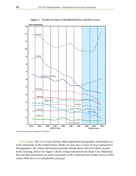

**Figure 1. Trends in Causes of Residential Fires and Fire Losses**

**U.S. Census.** The U.S. Census Bureau offers significant demographic information on each community in the United States. While you may have a sense of your community's demographics, the census information provides details about who lives there, income levels, housing, and so on. Figure 3 shows census information for Boise City, Oklahoma. You can find information on each community in the American Fact Finder section of the census Web site at *[www.factfinder.census.gov](http://www.factfinder.census.gov)*

Note: Data provided in Appendix B, Table B-3.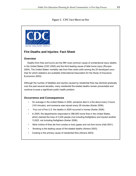#### **Figure 2. CDC Fact Sheet on Fire**



#### **Fire Deaths and Injuries: Fact Sheet**

#### **Overview**

Deaths from fires and burns are the fifth most common cause of unintentional injury deaths in the United States (CDC 2005) and the third leading cause of fatal home injury (Runyan 2004). The United States' mortality rate from fires ranks sixth among the 25 developed countries for which statistics are available (International Association for the Study of Insurance Economics 2003).

Although the number of fatalities and injuries caused by residential fires has declined gradually over the past several decades, many residential fire-related deaths remain preventable and continue to pose a significant public health problem.

#### **Occurrence and Consequences**

- On average in the United States in 2005, someone died in a fire about every 2 hours (143 minutes), and someone was injured every 29 minutes (Karter 2006).
- Four out of five U.S. fire deaths in 2005 occurred in homes (Karter 2006).
- In 2005, fire departments responded to 396,000 home fires in the United States, which claimed the lives of 3,030 people (not including firefighters) and injured another 13,825, not including firefighters (Karter 2006).
- Most victims of fires die from smoke or toxic gases and not from burns (Hall 2001).
- Smoking is the leading cause of fire-related deaths (Ahrens 2003).
- Cooking is the primary cause of residential fires (Ahrens 2003).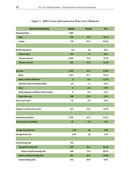#### **Figure 3. 2000 Census Information for Boise City, Oklahoma**

| <b>General Characteristics</b>             | <b>Number</b>           | <b>Percent</b> | <b>U.S.</b> |
|--------------------------------------------|-------------------------|----------------|-------------|
| <b>Total population</b>                    | 1,483                   |                |             |
| <b>Male</b>                                | 704                     | 47.5           | 49.1%       |
| Female                                     | 779                     | 52.5           | 50.9%       |
|                                            |                         |                |             |
| Median age (years)                         | 41.1                    | (X)            | 35.3        |
| <b>Under 5 years</b>                       | 105                     | 7.1            | 6.8%        |
| 18 years and over                          | 1,095                   | 73.8           | 74.3%       |
| 65 years and over                          | 314                     | 21.2           | 12.4%       |
|                                            |                         |                |             |
| One race                                   | 1,441                   | 97.2           | 97.6%       |
| White                                      | 1,211                   | 81.7           | 75.1%       |
| <b>Black or African-American</b>           | 3                       | 0.2            | 12.3%       |
| American Indian and Alaska Native          | 25                      | 1.7            | 0.9%        |
| <b>Asian</b>                               | $\overline{\mathbf{4}}$ | 0.3            | 3.6%        |
| Native Hawaiian and Other Pacific Islander | 0                       | 0.0            | 0.1%        |
| Some other race                            | 198                     | 13.4           | 5.5%        |
| Two or more races                          | 42                      | 2.8            | 2.4%        |
|                                            |                         |                |             |
| Hispanic or Latino (of any race)           | 312                     | 21.0           | 12.5%       |
|                                            |                         |                |             |
| <b>Household population</b>                | 1,442                   | 97.2           | 97.2%       |
| <b>Group quarters population</b>           | 41                      | 2.8            | 2.8%        |
|                                            |                         |                |             |
| Average household size                     | 2.36                    | (X)            | 2.59        |
| Average family size                        | 2.99                    | (X)            | 3.14        |
|                                            |                         |                |             |
| <b>Total housing units</b>                 | 752                     |                |             |
| <b>Occupied housing units</b>              | 610                     | 81.1           | 91.0%       |
| <b>Owner-occupied housing units</b>        | 449                     | 73.6           | 66.2%       |
| <b>Renter-occupied housing units</b>       | 161                     | 26.4           | 33.8%       |
| Vacant housing units                       | 142                     | 18.9           | 9.0%        |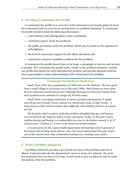#### **2. Develop a Community Fire Profile**

A community fire profile is an overview of the information previously gathered about the community and can serve as an introduction to a problem statement. A community fire profile should include the following information:

- a description of the demographics of the community;
- a brief description of the fire problems;
- the public perception of the fire problem, which may be based on the experiences of firefighters;
- the level of community support for fire safety education; and
- community resources available to address the fire problem.

A community fire profile doesn't have to be long—a paragraph or two for each section is enough. The community fire profile leads a reader to the problem statement. Include one profile description for each individual fire problem and provide adequate information to give readers a basic understanding of the community's fire problem.

#### **Community Fire Profile for Small Town**

*Small Town, USA, has a population of 1,600 and is in the Midwest. The town grew from a small village to its present size in the early 1900s. Most homes are more than 40 years old and constructed of wood. Although farming once thrived in Small Town, most residents now commute to a large city 50 miles away.*

*Small Town is an aging community, in terms of people and property. A significant 40 percent of Small Town's citizens are retired and reside in older homes. A*  large portion of the retired residents have difficulty with mobility and live on a fixed *income.*

*The local fire chief's analysis of the fire problem identified that gas wall heaters were involved in the majority of fires in the community. In fact, in the past 3 years, malfunctioning wall heaters or combustibles too close to the heaters caused 11 of 15 structure fires. Of those 11, 8 were in the homes of retired residents.*

*A recent survey by the county health department showed that only 25 percent of the homes had working smoke alarms. Also, the survey determined that only 10 percent of the citizens knew that unattended cooking was a leading cause of fire.*

#### **3. Write a Problem Statement**

A problem statement provides a fact-based overview of the problem and who it affects. It also provides the fire department's vision in terms of a solution. The problem statement does not have to be long—it just needs to give an objective and accurate description of the fire problem.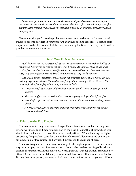*Share your problem statement with the community and convince others to join the team! A poorly written problem statement that lacks facts may damage your fire department's credibility and result in less support for your proposed fire safety education program.*

Remember that you'll use the problem statement as a marketing tool when you ask others to become partners in your program and when seeking resources. Because of its importance to the development of the program, taking the time to develop a well-written problem statement is important.

#### **Small Town Problem Statement**

*Wall heaters cause 75 percent of the fires in our community. More than half of the residential fires involved retired citizens who live in older homes. Most of the unattended fires are due to a heater malfunction, or combustibles too close to the heater. Also, only one in four homes in Small Town have working smoke alarms.*

*The Small Town Volunteer Fire Department proposes developing a fire safety education program to address the wall heater fire problem among retired citizens. The reasons for this fire safety education program include*

- *• A majority of the residential fires that occur in Small Town involve gas wall heaters.*
- *• These fires affect our retired senior citizens, a group at highest risk from fire.*
- *• Seventy-five percent of the homes in our community do not have working smoke alarms.*
- *• A fire safety education program can reduce the fire problem involving senior citizens in Small Town.*

#### **4. Prioritize the Fire Problem**

Your community may have several fire problems. Select one problem as the priority and work to reduce it before moving on to the next. Making this choice, which you should base on local needs, takes time, effort, and patience. When deciding the highest priority fire problem, consider the number of citizens killed or injured by fire; the amount of dollar loss caused; and any rapid increase in the number of fires.

The most frequent fire cause may not always be the highest priority. In your community, for example, the most frequent cause of fire may be careless burning of brush and trash in the rural areas. In the course of 3 years, perhaps your department responded to 30 such fires. The structural damage was minimal, however, with no injuries or deaths. During that same period, assume you had two structure fires caused by young children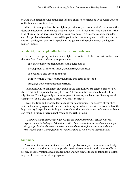playing with matches. One of the fires left two children hospitalized with burns and one of the houses was a total loss.

Which of these problems is the highest priority for your community? If you made the decision based only on the most frequent type of fire—brush fires—you would miss the type of fire with the severest impact on your community's citizens. In short, consider each fire problem based on its overall impact to the community and its citizens. The best choice—the highest priority fire problem—is generally the problem with the highest human impact.

#### **5. Identify the People Affected by the Fire Problems**

Certain citizen groups suffer a much higher rate of fire risk . Factors that can increase this risk from fire in different groups include

- age, particularly children under 5 and adults over 65;
- developmental, physical, visual, and hearing disabilities;
- sociocultural and economic status;
- gender, with males historically having higher rates of fire; and
- language and communication barriers.

A disability, which can affect any group in the community, can affect a person's ability to react and respond effectively to a fire. All communities are socially and culturally diverse. Changing family structures, peer influences, and language diversity are all examples of social and cultural issues you must consider.

Invest the time and effort to learn about your community. The success of your fire safety education program will depend on finding out who is most at risk from each of the high priority fire problems. Failing to learn about the "people aspect" of the fire problem can result in future programs not reaching the right groups.

*Making assumptions about high-risk groups can be dangerous. Several national organizations, including NFPA and the USFA, have researched the most common highrisk groups. Review the research to learn more about what fire hazards pose the most risk to each group. This information will be critical as you develop your solutions.*

#### **Summary**

A community fire analysis identifies the fire problems in your community, and helps you to understand the various groups who live in the community and are most affected by fire. The information developed from the analysis creates the foundation for developing your fire safety education program.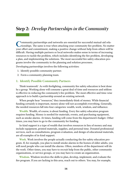# <span id="page-20-0"></span>**Step 2:** *Develop Partnerships in the Community*

**Community partnerships and networks are essential for successful mutual-aid rela-**<br> **Community** fire problem. No mat<br> **Community** for and commitment making a positive change without help from others will be tionships. The same is true when attacking your community fire problem. No matter your effort and commitment, making a positive change without help from others will be difficult. Having multiple partners or local networks makes sense in terms of increasing resources to tackle the problem, which includes identifying the fire problem, developing a plan, and implementing the solutions. The most successful fire safety education programs involve the community in the planning and solution processes.

Developing partnerships involves the following activities:

- 1. Identify possible community partner.
- 2. Form a community planning team.

#### **1. Identify Possible Community Partners**

Think teamwork! As with firefighting, community fire safety education is best done by a group. Working alone will consume a great deal of time and resources and seldom is effective in reducing the community's fire problem. The most effective and time-wise approach is to build a partnership around an existing network.

When people hear "resources," they immediately think of money. While financial funding certainly is important, money alone will not accomplish everything. Generally, the needed resources fall into four categories: wealth, work, wisdom, and influence.

**Wealth.** Wealth, of course, is about funding. Every fire safety education program requires funding. Money is needed for materials, events, and purchasing equipment, such as smoke alarms. At times, funding will come from the department's budget. Other times, you may have to go to the community for funding.

In-kind support is a type of wealth that involves resources in lieu of money and may include equipment, printed materials, supplies, and personal time. Donated professional services, such as consultations, program evaluation, and design of educational materials, are all examples of in-kind support.

**Work.** Work involves the people actually conducting the fire safety education program. If, for example, you plan to install smoke alarms in the homes of older adults, you will need people who can install the alarms. Often, members of the department will do the work. Other times, you may have to recruit help from the public, other community organizations, or service groups, or you may have to create an organization.

**Wisdom.** Wisdom involves the skills to plan, develop, implement, and evaluate the fire program. If you are lacking in this area, reach out to others. You may, for example,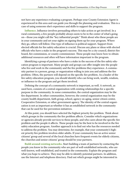not have any experience evaluating a program. Perhaps your County Extension Agent is experienced in this area and can guide you through the planning and evaluation. This is a case of using someone else's experience and skills to support the program.

**Influence.** Influence involves persuading others to take action or get involved. In a rural community, a few people probably always seem to be in the center of what's going on—those you might call the "key influential people." Think about who these people are in your community and set your sights on signing them up for your program. Where they go, others will follow. One type of influence is political support. Support from elected officials for fire safety education is crucial. Discuss any plans or ideas with elected officials who have a stake in the program's success. This may be a city council, district fire board, fire commission, or county commissioner. These people may know how to obtain additional resources and often will have information important to the program.

Identifying a group of partners who have a stake in the success of the fire safety education program is important. Many people and groups can offer insight into the people who live and work in the community and the fire problems they experience. A community partner is a person, group, or organization willing to join you and address the fire problem. Often, the partners will depend on the specific fire problem. As a leader of the fire safety education program, you should identify who can bring work, wealth, wisdom, or influence to the program and get them involved.

Defining the concept of a community network is important, as well. A network, as used here, consists of a central organization with existing relationships for a specific purpose in the community. In some communities, the central organization may be the fire department. In other communities, however, the central organization may be the county health department, faith group, school, agency on aging, senior citizen center, Cooperative Extension, or other government agency. The identity of the central organization is not as important as whether it has an established network in the community that can be used for fire prevention initiatives.

At this point, you should have selected the highest priority fire problem. Think about which groups in the community the fire problem affects. Consider which organizations or agencies already provide services to these people, and who cares about the specific fire problem and the people it affects. These people may be the best to be involved in the fire safety education program. Another approach is to find out who has the resources needed to address the problem. You may determine, for example, that your community's highest priority fire problem involves older adults. If your community has an active senior citizens' group and several of the local churches have frequent events for elderly citizens, the churches and senior citizens' group should be your partners.

**Build around existing networks.** Start building a team of partners by contacting the people you know in the community who are part of well-established networks, who are well-known, well-established, and trusted in the community. Explain the program and what you hope to achieve. They may be able to identify potential partners. In addition, use the Internet and telephone directory. Find out which groups might be interested in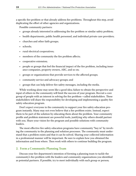a specific fire problem or that already address fire problems. Throughout this step, avoid duplicating the effort of other agencies and organizations.

Possible community partners:

- • groups already interested in addressing the fire problem or similar safety problem;
- health departments, public health personnel, and individual private care providers;
- churches and other faith groups;
- schools:
- rural electrical cooperatives;
- members of the community the fire problem affects;
- cooperative extension;
- people or groups that feel the financial impact of the fire problem, including insurance companies, property owners, ARC, and so on;
- groups or organizations that provide services to the affected groups;
- • community service and advocacy groups; and
- groups that can help deliver fire safety messages, including the media.

While working alone may seem like a good idea; failure to obtain the perspective and input of others in the community will limit the success of your program. Recruit a core group of people with an interest in solving the fire problem—called stakeholders. These stakeholders will share the responsibility for developing and implementing a quality fire safety education program.

Don't expect everyone in the community to support your fire safety education program instantly. Many may not even believe that a fire problem exists. Instead, expect them to be part of the solution by educating them about the problem. Your community profile and problem statement are powerful tools, justifying why others should partner with you. Share your vision for the program and possible solutions with community leaders.

The most effective fire safety education programs have community "buy in" by involving the community in the planning and solution processes. The community must understand that a problem exists and that it can be solved. Sharing your collected information in a professional manner will be important. Be sure to explain how you obtained the information and from where. Then work with others to continue building the program.

#### **2. Form a Community Planning Team**

Discuss your fire department's intention of forming a planning team to tackle the community's fire problem with the leaders and community organizations you identified as potential partners. If possible, try to meet individually with each group or person;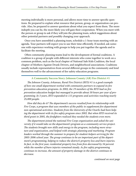meeting individually is more personal, and allows more time to answer specific questions. Be prepared to explain what resource that person, group, or organization can provide. Also, be prepared to answer questions about what you expect from them. The more indepth you can be, the more likely you will gain their cooperation. When you meet with the person or group to ask if they will join the planning team, solicit suggestions about other potential partners and possibly changing your approach.

Once you have assembled a planning team, schedule a 1-hour team meeting with an agenda. Your partners will expect you to use their time efficiently. If needed, ask someone with experience working with groups to help you put together the agenda and to facilitate the meeting.

Often community planning teams lead to the development of formal coalitions. A coalition is a group of people with different interests who come together to work on a common problem, such as the local chapter of National Safe Kids Coalition, the local chapter of Mothers Against Drunk Drivers, and neighborhood associations. Coalitions usually include representatives from several different groups in the community and lend themselves well to the advancement of fire safety education programs.

#### **A Community Success Story: Johnson County (AR) Fire District #1**

*The Johnson County, Arkansas, Rural Fire District (RFD) #1 is a good example of how one small department worked with community partners to expand its fire prevention education programs. In 2002, the 19 members of the RFD had no fire prevention education budget but managed to provide about 30 hours per year of programming. In 3 years, RFD expanded to 115 programs and activities reaching nearly 25,000 people.* 

*How did they do it? The department's success resulted from its relationship with Fire Corps, a program that uses members of the public to supplement fire department non-operational activities. Students from the University of the Ozarks had been helping the department with its fire safety program since 2002. But when RFD received its third grant in 2005, the firefighters realized they needed the students even more.*

*The department joined the national Fire Corps organization and asked the university if it would take on the department's program as a community service project. The students brought new skills and energy to the program, including more structure and organization, and helped with strategic planning and marketing. Program leaders worked through the summer to prepare for student-helpers arriving for the 2005-2006 school year. The group continues to be an important part of the department's programming, helping to reduce the district's property loss and burn injuries. In fact, in the first year, residential property loss from fires decreased by 34 percent while the number of burn injuries remained steady. As fire safety programming continues to increase, the amount of property damage in the district continues to decrease.*

*continued on next page*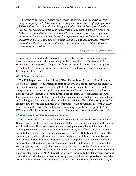*By partnering with Fire Corps, the department increased its fire safety programming in the first year by 287 percent, presenting more than 46 fire safety programs to 2,570 children and 624 adults and being involved in 69 other fire safety related activities that reached 24,817 people. The department's Fire Corps partners helped with 143 hours of presentations and activities. RFD's success has attracted recognition at the local, State, and national levels. The department won the Carnahan Award, presented by the Arkansas Fire Prevention Commission at the Arkansas Firefighter Convention. The department could not have accomplished what it did without the community partnership.* 

*Source:* [http://www.rfd1.com/firecorps.html](http://www.rfd1.com/firecorps.html )

Many programs and partners have been successful in rural communities, some involving fire safety and others involving similar issues. The U.S. Department of Homeland Security (DHS) highlights the following examples in its report "Mitigation of the Rural Fire Problem—Strategies Based on Original Research and Adaptation of Existing Best Practices."

#### *USDA Loans and Grants1*

The U.S. Department of Agriculture (USDA) Home Repair Loan and Grant Program (Section 504) offers low-interest loans of up to \$20,000 and, for people who are at least 62 and unable to repay a loan, grants of up to \$7,500 for repairs or the removal of health or safety hazards. Loan recipients also may use the funds for improvements or modernization. The USDA, through its community facilities program, also coordinates the Rural Emergency Responders Initiative, which offers financial assistance for equipment, vehicles, and buildings for fire, police, heath care, and other activities. The USDA gives priority for grants to low-income communities and communities with populations of less than 5,000, as well as to health care, public safety, and community or public service projects. The USDA also offers loans for rural areas and small towns with populations of up to 20,000.

#### *Alaska's Micro Rural Fire Department Program2*

Safety professionals in Alaska developed Project Code Red, or the Micro Rural Fire Department, to address the fire problem and lack of firefighting equipment in the State's small rural areas. This project uses new and existing technologies and State-certified training to cope with the extreme winter temperatures, lack of hydrants, and, in many cases, lack of roads. The program equips five firefighters with fully supplied trailers that they can pull by all-terrain vehicles, by snow machines, by pick-up trucks, or by hand, even on boardwalks and trails. Program facilitators ship the trailer in a heated and insulated container that doubles as a firehouse and includes 600 gallons of environmentally safe firefighting foam. Firefighters can recharge the unit in less than 5 minutes for less than 50 dollars. Also included in the shipment is State-certified firefighter training, based on an adapted version of NFPA Firefighter I, which is geared to fire departments without protective gear that have a limited water supply and may have only portable extinguishers and pumps. The total cost is about 70 percent less than the cost of a new fire engine.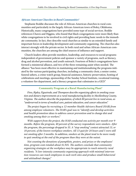#### *African-American Churches in Rural Communities3*

Stephanie Boddie discusses the role of African-American churches in rural communities and particularly in the largely African-American town of Boley, Oklahoma. Historically, many congregations have provided some type of social services. Boddie references Chaves and Higgins, who found that black congregations were more likely than white congregations to be involved in civil rights and providing basic needs to the immediate community. In fact, they describe rural churches as similar to an extended family and important forces in leadership development and community organizing. The churches also interact strongly with the private sector. In both rural and urban African-American communities, the churches are among the chief sources of influence and support.

Church leaders often provide members, leadership, and resources to social programs independent of government policies and sponsor a variety of programs, such as literacy, drug and alcohol prevention, and youth outreach. Fourteen of Boley's congregations have formed a ministerial alliance, and two of the three remaining assist when needed. The alliance "has been most effective in maintaining and institutionalizing the programs initiated by the various participating churches, including a community choir, a senior center, funeral ushers, a crime watch group, financial assistance, historic preservation, hosting of celebrations and meetings, sponsorship of the Sunday School Institute, vocational training, a volunteer fire department, and a literacy program that culminates in a GED."

#### **Community Program at a Rural Manufacturing Plant4**

*Fires, Ripley, Figueiredo, and Thompson describe organizing efforts in smoking cessation and dietary improvements at a rural manufacturing facility in Mecklenburg County, Virginia. The authors describe the population, of which 80 percent live in rural areas, as "underserved in terms of medical care, patient education, and cancer education."*

*The project began by recruiting a 12-member Health Advisory Board (HAB) from among employee volunteers. The HAB's goal was to "identify and develop activities and health promotion ideas to address cancer prevention and to change diet and smoking among their co-workers."*

*With support from the project, the HAB conducted one activity per month over 9 months. Before the program, 40 percent of the survey respondents were smokers. After the program, the percentage dropped to 35. A "stop smoking" contest attracted 13, or 18 percent, of the known workplace smokers. All 13 quit for 24 hours and 5 were still not smoking after 2 months. In addition, smokers at the plant tend to be more ready to quit smoking at the end of the program than they were at the outset.* 

*Not counting the donations of pamphlets, posters, and prizes or the employees' time, program costs totaled about \$1,925. The authors conclude that community organizing strategies at the workplace may be appropriate to reach minority rural residents. "A low-intensity community organizing approach with minimal intervention resources can reach employees in such work sites and produce small behavioral and attitudinal changes."*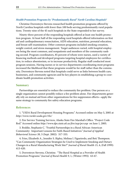#### *Health Promotion Programs by "Predominantly Rural" North Carolina Hospitals5*

Christine Dorresteyn-Stevens researched health promotion programs offered by North Carolina hospitals with fewer than 100 beds serving predominantly rural populations. Twenty-nine of the 45 such hospitals in the State responded to her survey.

Ninety-three percent of the responding hospitals offered at least one health promotion program. At least half of the responding rural hospitals offered information on first aid and cardiopulmonary resuscitation, AIDS education, nutrition, prenatal education, and breast self-examination. Other common programs included smoking cessation, weight control, and stress management. Target audiences varied, with hospital employees being the most common, and nonpatients and members of the community ranking second. Program coordinators, 85 percent of whom were nurses, used a variety of financing methods and developed programs targeting hospital employees for certification, to reduce absenteeism, or to increase productivity. Regular staff conducted most program sessions. Having nurses or in-service departments coordinating most programs increased the likelihood that these programs would be for staff rather than the community. Dorresteyn-Stevens noted that hospitals could serve as links between health care, businesses, and community agencies and be key players in establishing a group to coordinate health promotion activities.

#### **Summary**

Partnerships are essential to reduce the community fire problem. One person or a single organization cannot possibly reduce a fire problem alone. Fire departments generally rely on mutual aid from other organizations for fire suppression efforts—apply the same strategy to community fire safety education programs.

#### **References**

1 . "USDA Rural Development Housing Programs ." Accessed online on May 5, 2005 at *<http://www.rurdev.usda.gov/rhs/>*

2 . Fire Service Training Services, Alaska State Fire Marshal's Office . "Project Code Red." Accessed online <http://www.dps.state.ak.us/fire/asp/pcr.asp> on June 1, 2005.

3 . Boddie, Stephanie C . "Fruitful Partnerships in a Rural African-American Community: Important Lessons for Faith-Based Initiatives." *Journal of Applied Behavioral Science 38, 3 (Sept. 2002): 317-333.* 

4. Fries, Elizabeth A., Jennifer S. Ripley, Melissa I. Figueiredo, and Beti Thompson. "Can Community Organization Strategies be Used to Implement Smoking and Dietary Changes in a Rural Manufacturing Work Site?" *Journal of Rural Health 15*, 4, (Fall 1999): 413-420 .

5 . Dorresteyn-Stevens, Christine . "The Rural Hospital as a Provider of Health Promotion Programs." *Journal of Rural Health 9*, 1, (Winter 1993): 63-67.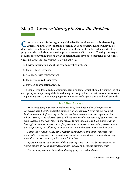# <span id="page-27-0"></span>**Step 3:** *Create a Strategy to Solve the Problem*

**C**reating a strategy is the beginning of the detailed work necessary for developing<br>a successful fire safety education program. In your strategy, include what will be<br>done where and how it will be implemented, and who wil a successful fire safety education program. In your strategy, include what will be done, where and how it will be implemented, and who will conduct which parts of the program. Also include an evaluation plan to measure effectiveness. Creating a strategy requires carefully thinking out a plan of action that is developed through a group effort.

Creating a strategy involves the following activities:

- 1. Review information about the community fire problem.
- 2. Identify target groups.
- 3. Select or create your program.
- 4. Identify required resources.
- 5. Develop an evaluation strategy.

In Step 2, you developed a community planning team, which should be comprised of a core group with a primary stake in reducing the fire problem, or that can offer resources. The planning team can include people from a variety of organizations and backgrounds.

#### **Small Town Strategy**

*After completing a community fire analysis, Small Town fire safety professionals determined that the highest priority fire problems were fires involving gas wall heaters and a lack of working smoke alarms, both in older homes occupied by older adults. Strategies to address these problems may involve education of homeowners in safer behaviors they can follow with respect to their heaters and their smoke alarms. Strategies also may involve a need for personnel, resources or special expertise to support acquisition, installation, or maintenance of new heaters or new smoke alarms.*

*Small Town has an active senior citizen organization and many churches with senior citizen programs and activities. In addition, Small Town's community development director works closely with senior initiatives.* 

*Figure 5.1 shows the members of the planning team. Since she has experience running meetings, the community development director will lead the first meeting.*

*The planning team includes the following groups or stakeholders:*

*continued on next page*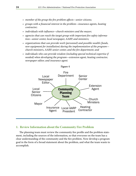- *• member of the group the fire problem affects—senior citizens;*
- *• groups with a financial interest in the problem—insurance agents, heating contractor;*
- *• individuals with influence—church ministers and the mayor;*
- *• agencies that can reach the target group with important fire safety information—senior center, local newspaper, AARP, and ministers;*
- *• organizations that can provide work (personnel) and possible wealth (funds, new equipment for installation) during the implementation of the program church ministers, AARP, senior center, and the fire department; and*
- *• individuals who can provide wisdom (including special technical expertise if needed) when developing the program—extension agent, heating contractor, newspaper editor, and insurance agent.*





#### **1. Review Information about the Community Fire Problem**

The planning team must review the community fire profile and the problem statement, including the sources of the information, so that everyone on the team has a clear understanding of the community and the fire problem. Now develop a program goal in the form of a broad statement about the problem, and what the team wants to accomplish.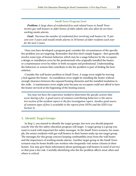*Problem: A large share of residential fires and related losses in Small Town involve gas wall heaters in older homes of older adults who also often do not have working smoke alarms.*

*Goal: Decrease the number of residential fires involving wall heaters by 75 percent over 3 years and install smoke alarms in 30 homes of older residents each year for the next 3 years.*

Once you have developed a program goal, consider the circumstances of the specific fire problem you are targeting. Remember that fires don't simply happen—fires generally involve some type of human behavior, which may be a usage behavior by the occupant, a design or installation error by the professionals who originally installed the heater, or a maintenance error by either or both occupant and professional. Understanding the behaviors or actions that contribute to the fire problem is part of finding the best solution.

Consider the wall heater problem in Small Town. A usage error might be moving a bed against the heater. An installation error might be installing the heater without enough clearance between the exposed heating elements and the installed insulation in the walls. A maintenance error might arise because an occupant could not afford to have the heater serviced at the beginning of the heating season.

*You may not have the experience needed to determine the specific actions that occur during a fire. A good source of common contributing behaviors is the narrative section of the incident report or the fire investigation report. Another good source of common types of fires is available in the reports from NFPA and the USFA (see Section 3).*

#### **2. Identify Target Groups**

In Step 1, you started to identify the target groups, but now you should pinpoint exactly who the fire safety education program will target. A target group is a group you want to reach with important fire safety messages. In the Small Town scenario, for example, the senior residents with gas wall heaters in their homes make up one target group. The messages for this group concern keeping combustibles away from the wall heater and the importance of working smoke alarms. Another target group in the Small Town scenario may be home health care workers who frequently visit senior citizens in their homes. You may give them information about spotting gas wall heaters in need of service or that pose a fire risk. Carefully identifying who the fire problem affects most often and where is critical.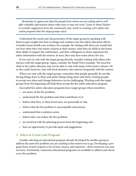*Remember to appreciate that the people from whom you are asking advice will offer valuable information about what may or may not work. Listen to them! Failure to consider suggestions from the community may result in creating a fire safety education program that the target groups reject.*

Understand the needs and characteristics of the target group by speaking with them to gain insight into how to design and conduct your fire safety education efforts. Consider home health care workers, for example. By visiting with them you would find out how often they visit senior citizens in their homes, what they do while in the home, their ability to inspect the wall heaters, and their willingness to share important fire safety information with the seniors. In turn, they may have some advice for you.

If you can't to visit with the target group directly, consider visiting with others who interact with the target group. Again, consider the Small Town example. The local fire chief or fire safety educator may not be able to visit with many of the senior citizens. He or she could, however, visit with local ministers who interact frequently with the seniors.

When you visit with the target groups, remember that people generally do not like having things done to them and prefer things being done with them. Getting people to accept new ideas and change behaviors can be challenging. Working with the target groups from the beginning will help them accept the fire safety education program.

Successful fire safety education programs have target groups whose members:

- are aware of the fire problem;
- understand the fire problem and what contributes to it;
- believe that they, or their loved ones, are personally at risk;
- believe that the fire problem is unacceptable and serious;
- understand that a solution exists:
- believe they can reduce the fire problem;
- are involved with the planning process from the beginning; and
- have an opportunity to provide input and suggestions.

#### **3. Select or Create your Program**

Usually, selecting an educational program already developed by another group to address the same fire problem you are tackling is the easiest way to go. Developing a program from scratch requires a lot of time, money, and expertise—three resources you may not have. Fortunately, numerous educational programs are available to address just about every fire problem.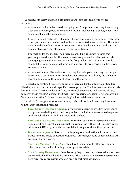Successful fire safety education programs share some essential components, including:

- A presentation for delivery to the target group. The presentation may involve only a speaker providing basic information, or it may include digital slides, videos, and so on to enhance the presentation.
- Printed handout materials that support the presentation. If the handout materials, or support materials, can be used in lieu of a presentation—even better. The information in the handouts must be attractive, easy to read and understand, and must be consistent with the information in the presentation.
- Information for the media. The program should include news releases that you can give to the media. The news releases are prepared stories that provide the target group with information on the fire problem and the actions people should take. Some educational programs also provide prerecorded public service announcements.
- • An evaluation tool. The evaluation tool may be as simple as a survey that people who attend a presentation can complete. For programs in schools, the evaluation tool should measure the amount of learning that occurs.

Research any existing fire safety education programs. First, contact your State Fire Marshal, who may recommend a specific, proven program. The Internet is another excellent tool. Type "fire safety education" into any search engine and add specific phrases to search those results. Consider the Small Town scenario, for example. After searching "fire safety education," adding "home heating" will reveal different resources.

Local and State agencies or organizations, such as those listed here, may have access to fire safety education programs.

- • **Local County Extension Agent.** Many extension agencies have fire safety education programs dealing with rural fire problems, including some oriented to young adults involved in 4-H, and to farmers and ranchers.
- • **Local and State Health Department.** In recent years health departments have begun tackling fire problems, especially in rural areas without full-time fire safety educators. CDC programs also are available through local health departments.
- • **Insurance companies.** Several of the large regional and national insurance companies have fire safety education programs. Some target young children, while others target home owners.
- • **State Fire Marshal's Office.** Your State Fire Marshal should offer programs and other resources, such as funding and support materials.
- • **State Forestry Department.** State Forestry Departments may have education programs to deal with wildland fire problems. Also, some State Forestry Departments have rural fire coordinators who can provide technical assistance.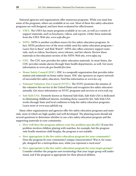National agencies and organizations offer numerous programs. While you must buy some of the programs, others are available at no cost. Most of these fire safety education programs are well designed, and have been evaluated for effectiveness.

- • **USFA.** The USFA has many programs available at no cost, as well as a variety of support materials, such as brochures, videos, and reports. Order these materials from the USFA Web site, *[www.usfa.dhs.gov](http://www.usfa.dhs.gov)*
- **NFPA.** NFPA is another excellent source for fire safety education programs. In fact, NFPA produces two of the most widely used fire safety education programs— Learn Not to Burn<sup>®</sup> and Risk Watch<sup>®</sup>. NFPA also offers extensive support materials, such as videos, brochures, news releases, and fact sheets. Review these materials in the education section of the NFPA Web site, *[www.nfpa.org](http://www.nfpa.org)*
- • **CDC.** The CDC now provides fire safety education materials. In most States, the CDC provides smoke alarms through State health departments, as well. Get more information at *[www.cdc.gov/health/fire.htm](http://www.cdc.gov/health/fire.htm)*
- Home Safety Council (HSC). HSC is a nonprofit organization that provides information and materials on home safety issues. HSC also sponsors an expert network of successful fire safety educators. Find this information at *[www.hsc.org](http://www.hsc.org)*
- **National Volunteer Fire Council (NVFC).** The NVFC promotes the mission of the volunteer fire service in the United States and recognizes fire safety educators annually. Get more information on NVFC programs and services at *[www.nvfc.org](http://www.nvfc.org)*
- **Safe Kids USA.** Formerly known as National Safe Kids, Safe Kids USA is dedicated to eliminating childhood injuries, including those caused by fire. Safe Kids USA works through State and local coalitions to help fire safety education programs. Learn more at *[www.usa.safekids.org](http://www.usa.safekids.org)*

Many other organizations and agencies offer fire safety education programs and materials, most of which are high-quality and well developed. The planning team should ask several questions to determine whether to use a fire safety education program and the supporting materials in your community:

- • **How well does the program address your fire problem specifically?** If your fire problem involves children playing with matches, for example, but the program only briefly mentions child fireplay, the program is not suitable.
- • **How appropriate is the fire safety education program for your community?**  Does the program fit your community's unique characteristics? Was it, for example, designed for a metropolitan area, while you represent a rural area?
- • **How appropriate is the fire safety education program for your target groups?** Consider whether the program uses terminology that your target group will understand, and if the program is appropriate for their physical abilities.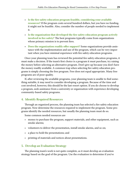- • **Is the fire safety education program feasible, considering your available resources?** If the program costs several hundred dollars, but you have no funding, it might not be feasible. Also, consider the number of people needed to implement it.
- • **Is the organization that developed the fire safety education program actively involved in fire safety?** The best programs typically come from organizations whose primary mission is to prevent fires.
- • **Does the organization readily offer support?** Some organizations provide assistance with the implementation and use of the program, which can be very important when you have minimal experience with fire safety education programs.

Once your planning team has reviewed the potential fire safety education programs, it must make a decision. If the team's first choice is a program it must purchase, try raising the money before selecting an alternative program. Don't give up because you don't have the money readily available . A common trap when selecting fire safety education programs is simply choosing the free program . Free does not equal appropriate . Many free programs are of poor quality.

If, after reviewing the available programs, your planning team is unable to find something suitable, it may need to consider developing a program. Because of the time and cost involved, however, this should be the last-resort option. If you do choose to develop a program, seek assistance from a university or organization with experience developing community-based safety programs.

#### **4. Identify Required Resources**

Through an organized process, the planning team has selected a fire safety education program. Now determine the resources required to implement the program. Some programs identify the needed resources, but usually the planning team must do so.

Some common needed resources are

- money to purchase the program, support materials, and other equipment, such as smoke alarms;
- volunteers to deliver the presentation, install smoke alarms, and so on;
- a place to hold the presentations; and
- • printing of materials and notices about presentations.

#### **5. Develop an Evaluation Strategy**

The planning team's work is not quite complete, as it must develop an evaluation strategy based on the goal of the program . Use the evaluation to determine if you've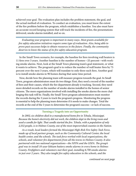achieved your goal. The evaluation plan includes the problem statement, the goal, and the actual method of evaluation. To conduct an evaluation, you must know the extent of the fire problem before the program, which establishes a baseline. You also must have an accurate record keeping system that will track the incidents of fire, the presentations delivered, smoke alarms installed, and so on.

*Evaluating your program is important in many ways. Most grants available for fire safety education initiatives require some type of evaluation. Also, being able to prove past successes helps to obtain resources in the future. Finally, the community deserves to know the status of its fire safety education program.*

In the Small Town scenario, for example, the baseline for fires involving wall heaters is 11 fires over 3 years. Another baseline is the number of homes—25 percent—with working smoke alarms. Next, look at the Small Town planning team's goal statement, or what it wants to achieve. The program's goal is to reduce the number of wall heater fires by 75 percent over the next 3 years, which will translate to only three such fires. Another goal is to install smoke alarms in 90 homes during that same time period.

Now, decide how the planning team will measure progress towards the goal. In Small Town, program administrators must do two things: First, they need a record of the number of fires and their causes, which the fire department already is tracking. Second, they need more detailed records on the number of smoke alarms installed in the homes of senior citizens. The more organizations involved with installing the smoke alarms the more challenging this task will be. Finally, the Small Town program administrators must monitor the records during the 3 years to track the program's progress. Monitoring the progress is essential to help the planning team determine if it needs to make changes. Total the records at the end of the 3 years to determine the program's success—or lack of success.

#### **Turning a Tragedy into an Opportunity**

*In 2002, six children died in a manufactured home fire in Tchula, Mississippi. Because the home's electricity did not work, the children slept in the living room and used a candle for light. That candle started the fire. Tchula, with a population of only 2,332 people, is in Holmes County, one of the most impoverished counties in the Nation.*

*As a result, local leaders formed the Mississippi High-Risk Fire Safety Task Force, made up of local partner groups, such as the Community Cultural Center, the local health center, and the schools. The task force worked with local organizations, the schools, and volunteer fire departments from all the towns in Holmes County. It also partnered with two national organizations—the NFPA and the USFA. The group's goal was to install 10-year lithium battery smoke alarms in every home in Holmes County. Firefighters and volunteers met their goal, installing 8,700 smoke alarms in just over 2 years. They also taught fire safety education in the schools, and the* 

*continued on next page*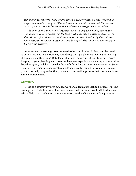*community got involved with Fire Prevention Week activities. The local leader and project coordinator, Margaret Wilson, trained the volunteers to install the alarms correctly and to provide fire prevention and escape messages to all the residents.* 

*The effort took a great deal of organization, including phone calls, home visits, community meetings, publicity in the local media, and fliers posted in places of worship. The task force thanked volunteers with certificates, Wal-Mart gift certificates, and a recognition dinner. Wilson says that having reliable volunteers was the key to the program's success.* 

Your evaluation strategy does not need to be complicated. In fact, simpler usually is better . Detailed evaluation may sound easy during a planning meeting but making it happen is another thing. Detailed evaluations require significant time and recordkeeping. If your planning team does not have any experience evaluating a communitybased program, seek help. Usually the staff of the State Extension Service or the State Health Department includes professionals specifically trained in evaluation . When you ask for help, emphasize that you want an evaluation process that is reasonable and simple to implement.

#### **Summary**

Creating a strategy involves detailed work and a team approach to be successful. The strategy must include what will be done, where it will be done, how it will be done, and who will do it. An evaluation component measures the effectiveness of the program.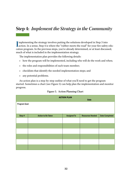# <span id="page-36-0"></span>**Step 4:** *Implement the Strategy in the Community*

**I I** mplementing the strategy involves putting the solutions developed in Step 3 into action. In a sense, Step 4 is where the "rubber meets the road" for your fire safety education program. In the previous steps, you've already determined, or at least discussed, much of what is included in the implementation strategy.

The implementation plan provides the following details:

- how the program will be implemented, including who will do the work and when;
- the roles and responsibilities of each team member;
- checklists that identify the needed implementation steps; and
- any potential problems.

An action plan is a step-by-step outline of what you'll need to get the program started. Sometimes a chart (see Figure 5) can help plan the implementation and monitor progress.

|               |                           | <b>ACTION PLAN</b> | <b>Date</b>             |                       |
|---------------|---------------------------|--------------------|-------------------------|-----------------------|
| Program Goal: |                           |                    |                         |                       |
|               |                           |                    |                         |                       |
| Step#         | <b>Action to Be Taken</b> | <b>Assigned To</b> | <b>Resources Needed</b> | <b>Date Completed</b> |
|               |                           |                    |                         |                       |
|               |                           |                    |                         |                       |
|               |                           |                    |                         |                       |
|               |                           |                    |                         |                       |
|               |                           |                    |                         |                       |
|               |                           |                    |                         |                       |

#### **Figure 5. Action Planning Chart**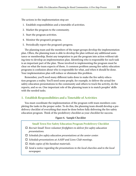The actions in the implementation step are

- 1. Establish responsibilities and a timetable of activities.
- 2. Market the program to the community.
- 3. Start the program activities.
- 4. Monitor the program's progress.
- 5. Periodically report the program's progress.

The planning team and the members of the target groups develop the implementation plan. Often, the planning team is able to develop the plan without any additional assistance or membership. Resist any temptation to put the program into action without taking time to develop an implementation plan. Identifying who is responsible for each task is an important part of the plan. Those involved in implementing the program must be clear on what the team expects of them. A common problem among fire safety education programs is confusion about who is responsible for what, and when it should be done. Your implementation plan will reduce or eliminate this problem.

Remember, you'll need many different tasks done to make the fire safety education program a reality. You'll need some people, for example, to deliver the actual fire safety education presentations to the community and others to track the activity, do the reports, and so on. One important role of the planning team is to match peoples' skills with the needed tasks.

#### **1. Establish Responsibilities and a Timetable of Activities**

You must coordinate the implementation of the program with team members completing the tasks in the proper order. To do this, the planning team should develop a predelivery checklist of everything that must be done before fully delivering the fire safety education program. Think of the predelivery checklist as your checklist for success.

#### **Figure 6. Sample Checklist**

- **Small Town Fire Safety Education Program Predelivery Checklist**
- *Recruit Small Town volunteer firefighters to deliver fire safety education presentations.*
- *Schedule fire safety education presentations at the senior center.*
- *Schedule presentations at AARP and Lions Club meetings.*
- *Make copies of the handout materials.*
- *Send a notice regarding the presentations to the local churches and to the local newspaper.*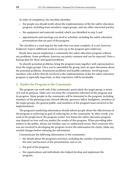In order of completion, the checklist identifies

- the people you should notify about the implementation of the fire safety education program, including team members, target groups, and any other interested parties;
- the equipment and materials needed, which you identified in step 3; and
- • appointments and meetings you need to schedule, including fire safety education presentations that are part of the program.

The checklist is a road map for the tasks that you must complete . It is not, however, foolproof. Expect additional needs to come up as the program gets underway.

Rarely does anyone implement a community fire safety education program without any problems. Some problems, however, are pretty common and can be expected. Have a backup plan for these anticipated problems.

To identify potential problems, bring the program team together with representatives from the target groups. Once you've assembled the group, have an open discussion about the potential problems. Brainstorm problems and feasible solutions. Involving team members who will be directly involved in the implementation of the fire safety education program is especially important, as their experience will be invaluable.

#### **2. Market the Program to the Community**

The program can work only if the community, particularly the target group, is aware of it and its purpose . Make sure you keep the community informed of the program and its progress. Many people in the community will be interested in the program, including members of the planning team, elected officials, sponsors, fellow firefighters, members of the target groups, the general public, and members of the program team involved in the implementation.

The program's marketing information should inform people about the effectiveness of the program in achieving its goal of reducing fire in the community. In other words, you want to let people know the program works! Any future fire safety education program may depend on how well you market the results of this program. When providing information to the public, always use familiar, easy-to-understand terms. Have someone who was not involved in developing the program review the information for clarity. Make any needed changes before releasing the information.

Communicate the following information to the community:

- the details about the program's activities, including the number of presentations, the time and location of the presentations, and so on;
- the goal of the program;
- • the organizations and individuals who helped develop and implement the program;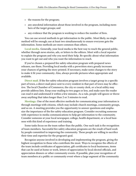- the reasons for the program;
- any anecdotal information about those involved in the program, including members of the target groups; and
- any evidence that the program is working to reduce the number of fires.

You can use several methods to get information to the public. Most likely, no single method will be enough; use at least two simultaneously to ensure everyone gets the information. Some methods are more common than others.

**Local media.** Generally, your local media is the best way to reach the general public, whether through news stories, ads, or letters to the editors. Meet with a local reporter to explain the program and why you need their help. Be specific about what information you want to get out and who you want the information to reach.

If you've chosen a prepared fire safety education program with prepared news releases, use them. Providing local media with a prewritten story greatly increases your chances of getting the story printed. If necessary, make some changes to the story to make it fit your community. Also, always provide pictures when appropriate and available.

**Direct mail.** If the fire safety education program involves a target group in a specific part of town, a direct mail piece sent to every resident in that part of town may be effective. The local Chamber of Commerce, the city or county clerk, or a local utility may provide address lists. Keep your mailing to two pages or less, and make sure the reader can read it and understand it within a few minutes. As a rule, people will ignore or throw away anything that takes longer than 2 or 3 minutes to read.

**Meetings.** One of the most effective methods for communicating your information is through meetings with citizens, which may include church meetings, community groups, and so on. A meeting provides you the opportunity to answer questions and emphasize the importance of the fire safety education program. Consider recruiting someone with experience in media communications to help get information to the community. Consider someone at your local newspaper, college, health department, or a local business with this kind of experience and training.

Some tasks focus on the team rather than the public. One such task is the recognition of team members. Successful fire safety education programs are the result of hard work by people committed to improving the community. These people are willing to sacrifice their time and expertise for the program's goal.

Recognize anyone involved in developing and implementing the program, giving the highest recognition to those who contribute the most. Ways to recognize the efforts of the team include certificates of appreciation, gift certificates to local businesses, items that can be used at home or work, letters of appreciation by local elected officials, and appreciation dinners or other community events. If possible, plan your recognition of team members at a public or community event where a large segment of the community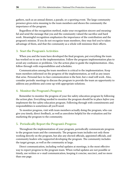gathers, such as an annual dinner, a parade, or a sporting event. The large community presence gives extra meaning to the team members and shows the community the importance of the program.

Regardless of the recognition method, make your recognition sincere and meaningful and send the message that you and the community valued the sacrifice and hard work. Meaningful recognition emphasizes the importance of the contribution and the program's mission. If you do not recognize team members, they may feel you've taken advantage of them, and that the community as a whole will minimize their efforts.

#### **3. Start the Program's Activities**

When you and the team have developed the final program, put everything the team has worked on to use in the implementation. Follow the program implementation plan to avoid any confusion or problems. Use the action plan to guide the implementation. Also, follow through with responsibilities and schedules.

Communication among the team members is critical to the implementation. Keep team members informed on the progress of the implementation, as well as any issues that arise. Personal face-to-face communication is the best, but e-mail will work. Also, consider periodic meetings to discuss the program to provide the team an opportunity to address any problems and come up with appropriate solutions.

#### **4. Monitor the Program's Progress**

Remember to monitor the progress of your fire safety education program by following the action plan . Everything needed to monitor the program should be in place *before* you implement the fire safety education program . Following through with commitments and responsibilities is sometimes all you'll need .

To monitor progress, visit with team members actually doing the program, who can give you timely, direct feedback, as well as anecdotes helpful for the evaluation and for marketing the program to the community.

#### **5. Periodically Report the Program's Progress**

Throughout the implementation of your program, periodically communicate progress to the program team and the community . The program team includes not only those working directly on the program, but also any elected officials, appointed officials, and community leaders who supported developing the program . The community includes the target groups, as well as the community at large .

Direct communication, including verbal updates at meetings, is the most effective way to report progress to the program team. When verbal updates are not possible or timely, use written or e-mail communication, keeping it concise, succinct, and no more than one page.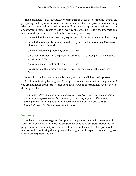The local media is a great outlet for communicating with the community and target groups. Again, keep your information concise and succinct and provide an update only when you have something worthy to report. Too-frequent reports lose their impact. In a sense, your progress report should be worthy of a headline. Report the information of interest to the program team and to the community, including:

- human interest stories of how the program prevented a fire or injury to a local family;
- completion of major benchmarks in the program, such as mounting 500 smoke alarms in the first month;
- the completion of a program goal or objective;
- the accomplishments of the program at the end of a chosen period, such as the 2-year anniversary;
- award of a major grant or other resource; and
- recognition of the program by a government agency, such as the State Fire Marshal.

Remember, the information must be timely—old news will have no importance.

Finally, monitoring the progress of your program may mean revising the program. If you are not making progress towards your goals, you and the team may have to revise the original plan.

*For more information and tips on marketing your fire safety education program and your fire department to the community, order a copy of the USFA manual*  Strategies for Marketing Your Fire Department Today and Beyond *at no cost through the USFA's Web site* [www.usfa.dhs.gov](http://www.usfa.dhs.gov)

#### **Summary**

Implementing the strategy involves putting the plan into action in the community. Sometimes, you'll need to revise the program for continued progress. Marketing the program to the community is an important part of implementation that you should not overlook. Monitoring the progress of the program and preparing regular progress reports are important, as well.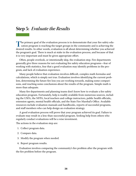## <span id="page-42-0"></span>**Step 5:** *Evaluate the Results*

The primary goal of the evaluation process is to demonstrate that your fire safety edu-<br>cation program is reaching the target groups in the community and is achieving the<br>desired results. In other words, evaluation is all cation program is reaching the target groups in the community and is achieving the desired results. In other words, evaluation is all about determining whether you achieved the program's goal. There is much at stake in the evaluation process, and because of that it is very important and must be given appropriate effort.

Often, people overlook, or intentionally skip, the evaluation step. Fire departments generally give three reasons for not evaluating fire safety education programs—fear of working with statistics, fear that a good evaluation may identify problems in the program, and lack of evaluation experience.

Many people believe that evaluation involves difficult, complex math formulas and calculations, which is simply not true. Evaluation involves identifying the current problem, determining the future fire loss you are working towards, making some comparisons, and reaching some conclusions about the results of the program. Simple math is more than adequate.

Many fire departments and planning teams don't know how to evaluate a fire safety education program. Fortunately, help is readily available from numerous sources, including the USFA, the NFPA, local teachers and college instructors, public health officials;, extension agents, mental health officials, and the State Fire Marshal's Office. Available resources include evaluation manuals and handbooks, reports of successful programs, and staff members who can help design an evaluation strategy.

A good evaluation process will prove that your program achieved its goal. Failure to evaluate may result in a less-than-successful program. Seeking help from others who regularly conduct evaluations will be a wise investment.

The actions in the evaluation step are:

- 1. Collect program data.
- 2. Compare data.
- 3. Modify the program when needed.
- 4. Report program results.

Evaluation involves comparing the community's fire problem after the program with the fire problem before the program.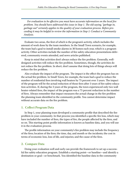*For evaluation to be effective you must have accurate information on the local fire problem. You should have addressed this issue in Step 1. The old saying, "garbage in, garbage out" certainly applies to the quality of your evaluation process. Before proceeding it may be helpful to review the information in Step 1: Conduct a Community Analysis.* 

Evaluate two areas, the first of which is the program's activity, which includes the amount of work done by the team members. In the Small Town scenario, for example, the team had a goal to install smoke alarms in 30 homes each year, which is a program activity. Other activities include the number of fire safety education presentations delivered, community events attended, and news articles published.

Keep in mind that activities don't always reduce the fire problem. Generally, welldesigned activities will reduce the fire problem. Sometimes, though, the activities do not reduce the fire problem. In short, don't assume that doing lots of things always will reduce the fire problem.

Also evaluate the impact of the program. The impact is the effect the program has on the actual fire problem. In Small Town, for example, the team had a goal to reduce the number of residential fires involving wall heaters by 75 percent over 3 years. The impact of the program will be the actual reduction of those fires after 3 years of fire safety education activities. If, during the 3 years of the program, the town experienced only two wall heater-related fires, the impact of the program was a 75 percent reduction in the number of fires. Always remember that impact measures the actual change in the fire problem the planning team identified in the community profile. You cannot determine impact without accurate data on the fire problem.

#### **1. Collect Program Data**

In Step 1, your planning team developed a community profile that described the fire problem in your community. In that process you identified a specific fire loss, which may have included the number of fires, the types of fire, the people affected by the fires, and so on. This starting-point profile information is known as baseline data, and you will use it in the evaluation process .

The profile information on your community's fire problem may include the frequency of the fires; location of the fires; the time, day, and month or the incidents; the cost in terms of economic loss, loss of life, and injuries; and the cause of the fires.

#### **2. Compare Data**

Doing your evaluation well and early can provide the framework to set up a successful fire safety education program. Establish a starting point—or baseline—and identify a destination or goal—or benchmark. You identified the baseline data in the community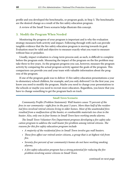profile and you developed the benchmarks, or program goals, in Step 3. The benchmarks are the desired change as a result of the fire safety education program.

A review of the Small Town scenario helps illustrate this concept.

#### **3. Modify the Program When Needed**

Monitoring the progress of your program is important and is why the evaluation strategy measures both activity and impact. Following through with each can provide tangible evidence that the fire safety education program is moving towards its goal. Evaluation must be valid and objective to measure exactly what you want to measure without bias or prejudice.

Usually, impact evaluation is a long-term process and, as such, is difficult to complete before the program ends. Measuring the impact of the program on the fire problem may take three to five years. As the program progress you can, however, measure the program activity by comparing the actual program activity against the goals of the program. This comparison can provide you and your team with valuable information about the progress of the program.

If one of the program goals was to deliver 15 fire safety education presentations a year to elementary school children, for example, and you only delivered 5 in the first year, you know you need to modify the program. Maybe you need to change your presentations to the schools or maybe you need to recruit more educators. Regardless, you know that you have to change something to get the program back on track.

#### **Small Town Scenario**

*Community Profile (Problem Statement): Wall heaters cause 75 percent of the fires in our community—eight fires in the past 3 years. More than half of the residential fires involved retired citizens living in older homes. Most of the unattended fires resulted from a malfunction of the heater, or combustible materials too close to the heater. Also, only one in four homes in Small Town have working smoke alarms.*

*The Small Town Volunteer Fire Department proposes developing a fire safety education program to address the wall heater fire problem among retired citizens. The reasons for this fire safety education program include*

- *• A majority of the residential fires in Small Town involve gas wall heaters.*
- *• These fires affect our retired senior citizens, a group that is at highest risk from fire.*
- *• Seventy-five percent of our community's homes do not have working smoking alarms.*
- *• A fire safety education program has a strong potential for reducing the fire problem involving senior citizens in Small Town.*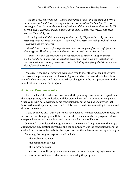*The eight fires involving wall heaters in the past 3 years, and the mere 25 percent of the homes in Small Town having smoke alarms constitute the baseline. The program's goal is to decrease the number of residential fires involving wall heaters by 75 percent over 3 years and install smoke alarms in 30 homes of older residents each year for the next 3 years.*

*Reducing residential fires involving wall heaters by 75 percent over 3 years and installing smoke alarms in at least 30 homes of older residents each year for the next 3 years are the benchmarks.*

*Small Town can use its fire reports to measure the impact of the fire safety education program. The fire reports will identify the cause of any residential fire.*

*Small Town can use program reports to measure program activity by examining the number of smoke alarms installed each year. Team members installing the alarms must, however, keep accurate reports, including identifying that the home was that of an older resident.*

Of course, if the end-of-program evaluation results show that you did not achieve your goals, the planning team will have to figure out why. The team should be able to identify what to change and incorporate those changes into the next program or in the modification of the current program.

#### **4. Report Program Results**

Share results of the evaluation process with the planning team, your fire department, the target groups, political leaders and decisionmakers, and the community in general. Once your team has developed some conclusions from the evaluation, provide that information to the planning team. In fact, it is best to hold a team meeting to review and discuss the results.

At this point you and your team should have decided whether you need to modify the fire safety education program. If the team decides it must modify the program, inform everyone involved of the decision and the reasons for the modification.

Once you've completed the program, report the results of the program to the target audience, the organizations involved, and the community. Use the conclusions from the evaluation process as the basis for the report, and let them determine the report's length.

Generally, the program report should include

- the problem statement;
- the community profile;
- the program's goals;
- an overview of the program, including partners and supporting organizations;
- a summary of the activities undertaken during the program;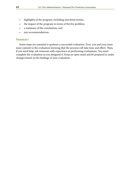- • highlights of the program, including anecdotal stories;
- the impact of the program in terms of the fire problem;
- • a summary of the conclusions; and
- • any recommendations.

#### **Summary**

Some steps are essential to perform a successful evaluation. First, you and your team must commit to the evaluation knowing that the process will take time and effort. Then, if you need help, ask someone with experience in performing evaluations. You must complete the evaluation as you designed it. Keep an open mind and be prepared to make changes based on the findings of your evaluation.